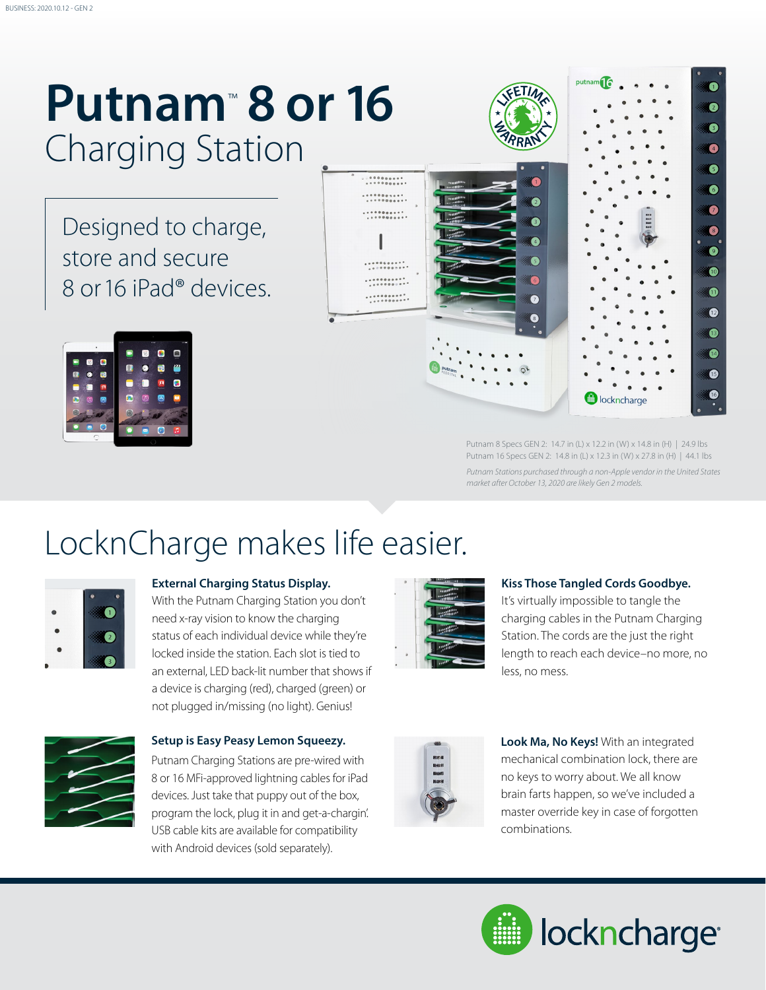## **Putnam**™  **8 or 16** Charging Station

Designed to charge, store and secure 8 or 16 iPad® devices.





Putnam 8 Specs GEN 2: 14.7 in (L) x 12.2 in (W) x 14.8 in (H) | 24.9 lbs Putnam 16 Specs GEN 2: 14.8 in (L) x 12.3 in (W) x 27.8 in (H) | 44.1 lbs *Putnam Stations purchased through a non-Apple vendor in the United States market after October 13, 2020 are likely Gen 2 models.*

## LocknCharge makes life easier.



### **External Charging Status Display.**

With the Putnam Charging Station you don't need x-ray vision to know the charging status of each individual device while they're locked inside the station. Each slot is tied to an external, LED back-lit number that shows if a device is charging (red), charged (green) or not plugged in/missing (no light). Genius!



### **Setup is Easy Peasy Lemon Squeezy.**

Putnam Charging Stations are pre-wired with 8 or 16 MFi-approved lightning cables for iPad devices. Just take that puppy out of the box, program the lock, plug it in and get-a-chargin'. USB cable kits are available for compatibility with Android devices (sold separately).



#### **Kiss Those Tangled Cords Goodbye.**

It's virtually impossible to tangle the charging cables in the Putnam Charging Station. The cords are the just the right length to reach each device–no more, no less, no mess.



**Look Ma, No Keys!** With an integrated mechanical combination lock, there are no keys to worry about. We all know brain farts happen, so we've included a master override key in case of forgotten combinations.